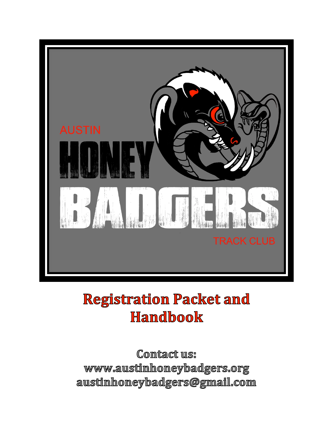

# **Registration Packet and Handbook**

Contact us: www.austinhoneybadgers.org austinhoneybadgers@gmail.com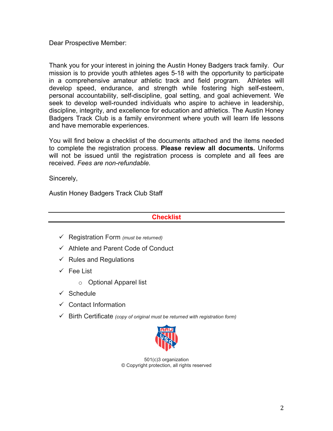Dear Prospective Member:

Thank you for your interest in joining the Austin Honey Badgers track family. Our mission is to provide youth athletes ages 5-18 with the opportunity to participate in a comprehensive amateur athletic track and field program. Athletes will develop speed, endurance, and strength while fostering high self-esteem, personal accountability, self-discipline, goal setting, and goal achievement. We seek to develop well-rounded individuals who aspire to achieve in leadership, discipline, integrity, and excellence for education and athletics. The Austin Honey Badgers Track Club is a family environment where youth will learn life lessons and have memorable experiences.

You will find below a checklist of the documents attached and the items needed to complete the registration process. **Please review all documents.** Uniforms will not be issued until the registration process is complete and all fees are received. *Fees are non-refundable.*

Sincerely,

Austin Honey Badgers Track Club Staff

# **Checklist**

- ! Registration Form *(must be returned)*
- $\checkmark$  Athlete and Parent Code of Conduct
- $\checkmark$  Rules and Regulations
- $\checkmark$  Fee List
	- o Optional Apparel list
- $\checkmark$  Schedule
- $\checkmark$  Contact Information
- ! Birth Certificate *(copy of original must be returned with registration form)*



501(c)3 organization © Copyright protection, all rights reserved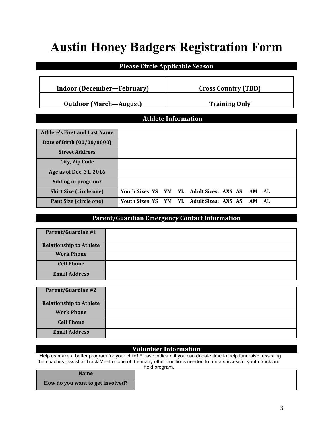# **Austin Honey Badgers Registration Form**

# **Please Circle Applicable Season**

# **Indoor (December—February) Cross Country (TBD)**

**Outdoor (March—August) Training Only** 

# **Athlete Information**

| <b>Athlete's First and Last Name</b> |                                              |  |  |  |     |  |
|--------------------------------------|----------------------------------------------|--|--|--|-----|--|
| Date of Birth (00/00/0000)           |                                              |  |  |  |     |  |
| <b>Street Address</b>                |                                              |  |  |  |     |  |
| City, Zip Code                       |                                              |  |  |  |     |  |
| Age as of Dec. 31, 2016              |                                              |  |  |  |     |  |
| Sibling in program?                  |                                              |  |  |  |     |  |
| <b>Shirt Size (circle one)</b>       | Youth Sizes: YS YM YL Adult Sizes: AXS AS AM |  |  |  | AL  |  |
| <b>Pant Size (circle one)</b>        | Youth Sizes: YS YM YL Adult Sizes: AXS AS AM |  |  |  | AL. |  |

# **Parent/Guardian Emergency Contact Information**

| <b>Parent/Guardian #1</b>      |  |
|--------------------------------|--|
| <b>Relationship to Athlete</b> |  |
| <b>Work Phone</b>              |  |
| <b>Cell Phone</b>              |  |
| <b>Email Address</b>           |  |

| <b>Parent/Guardian #2</b>      |  |
|--------------------------------|--|
| <b>Relationship to Athlete</b> |  |
| <b>Work Phone</b>              |  |
| <b>Cell Phone</b>              |  |
| <b>Email Address</b>           |  |

# **Volunteer Information**

 Help us make a better program for your child! Please indicate if you can donate time to help fundraise, assisting the coaches, assist at Track Meet or one of the many other positions needed to run a successful youth track and field program.

| nuru program.                    |  |  |  |  |
|----------------------------------|--|--|--|--|
| <b>Name</b>                      |  |  |  |  |
| How do you want to get involved? |  |  |  |  |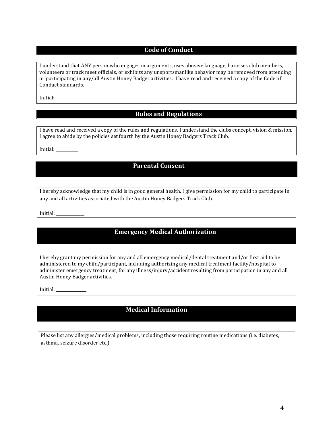### **Code of Conduct**

I understand that ANY person who engages in arguments, uses abusive language, harasses club members, volunteers or track meet officials, or exhibits any unsportsmanlike behavior may be removed from attending or participating in any/all Austin Honey Badger activities. I have read and received a copy of the Code of Conduct standards.

Initial: \_\_\_\_\_\_\_\_\_\_\_ 

# **Rules and Regulations**

I have read and received a copy of the rules and regulations. I understand the clubs concept, vision & mission. I agree to abide by the policies set fourth by the Austin Honey Badgers Track Club.

Initial:

### **Parental Consent**

I hereby acknowledge that my child is in good general health. I give permission for my child to participate in any and all activities associated with the Austin Honey Badgers Track Club.

Initial: \_\_\_\_\_\_\_\_\_\_\_\_\_\_

# **Emergency Medical Authorization**

I hereby grant my permission for any and all emergency medical/dental treatment and/or first aid to be administered to my child/participant, including authorizing any medical treatment facility/hospital to administer emergency treatment, for any illness/injury/accident resulting from participation in any and all Austin Honey Badger activities.

Initial: \_\_\_\_\_\_\_\_\_\_\_\_\_\_\_

# **Medical Information**

Please list any allergies/medical problems, including those requiring routine medications (i.e. diabetes, asthma, seizure disorder etc.)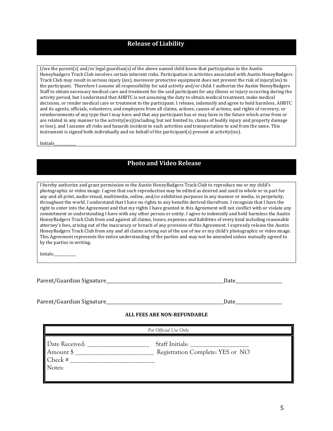### **Release of Liability**

I/we the parent(s) and/or legal guardian(s) of the above named child know that participation in the Austin Honeybadgers Track Club involves certain inherent risks. Participation in activities associated with Austin HoneyBadgers Track Club may result in serious injury (ies), moreover protective equipment does not prevent the risk of injury(ies) to the participant. Therefore I assume all responsibility for said activity and/or child. I authorize the Austin HoneyBadgers Staff to obtain necessary medical care and treatment for the said participant for any illness or injury occurring during the activity period, but I understand that AHBTC is not assuming the duty to obtain medical treatment, make medical decisions, or render medical care or treatment to the participant. I release, indemnify and agree to hold harmless, AHBTC and its agents, officials, volunteers, and employees from all claims, actions, causes of actions, and rights of recovery, or reimbursements of any type that I may have and that any participant has or may have in the future which arise from or are related in any manner to the activity(ies)(including, but not limited to, claims of bodily injury and property damage or loss), and I assume all risks and hazards incident to such activities and transportation to and from the same. This instrument is signed both individually and on behalf of the participant(s) present at activity(ies).

Initials\_\_\_\_\_\_\_\_\_\_\_\_

# **Photo and Video Release**

I hereby authorize and grant permission to the Austin HoneyBadgers Track Club to reproduce me or my child's photographic or video image. I agree that such reproduction may be edited as desired and used in whole or in part for any and all print, audio-visual, multimedia, online, and/or exhibition purposes in any manner or media, in perpetuity, throughout the world. I understand that I have no rights to any benefits derived therefrom. I recognize that I have the right to enter into the Agreement and that my rights I have granted in this Agreement will not conflict with or violate any commitment or understanding I have with any other person or entity. I agree to indemnify and hold harmless the Austin HoneyBadgers Track Club from and against all claims, losses, expenses and liabilities of every kind including reasonable attorney's fees, arising out of the inaccuracy or breach of any provision of this Agreement. I expressly release the Austin HoneyBadgers Track Club from any and all claims arising out of the use of me or my child's photographic or video image. This Agreement represents the entire understanding of the parties and may not be amended unless mutually agreed to by the parties in writing.

Intials:\_\_\_\_\_\_\_\_\_\_\_\_

Parent/Guardian Signature\_\_\_\_\_\_\_\_\_\_\_\_\_\_\_\_\_\_\_\_\_\_\_\_\_\_\_\_\_\_\_\_\_\_\_\_\_\_\_\_\_\_\_\_\_\_\_\_\_\_\_\_\_Date\_\_\_\_\_\_\_\_\_\_\_\_\_\_\_\_\_\_\_\_\_

Parent/Guardian Signature\_\_\_\_\_\_\_\_\_\_\_\_\_\_\_\_\_\_\_\_\_\_\_\_\_\_\_\_\_\_\_\_\_\_\_\_\_\_\_\_\_\_\_\_\_\_\_\_\_\_\_\_\_Date\_\_\_\_\_\_\_\_\_\_\_\_\_\_\_\_\_\_\_\_\_

#### **ALL FEES ARE NON-REFUNDABLE**

| For Official Use Only                            |                                  |  |  |  |
|--------------------------------------------------|----------------------------------|--|--|--|
| Date Received:<br>Amount \$<br>Check #<br>Notes: | Registration Complete: YES or NO |  |  |  |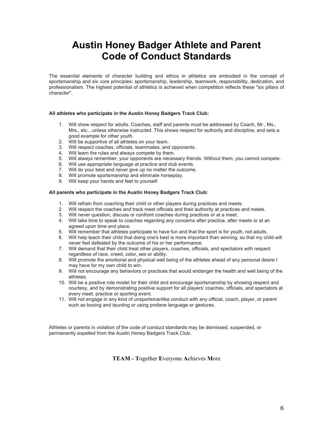# **Austin Honey Badger Athlete and Parent Code of Conduct Standards**

The essential elements of character building and ethics in athletics are embodied in the concept of sportsmanship and six core principles: sportsmanship, leadership, teamwork, responsibility, dedication, and professionalism. The highest potential of athletics is achieved when competition reflects these "six pillars of character".

#### **All athletes who participate in the Austin Honey Badgers Track Club:**

- 1. Will show respect for adults. Coaches, staff and parents must be addressed by Coach, Mr., Ms., Mrs., etc…unless otherwise instructed. This shows respect for authority and discipline, and sets a good example for other youth.
- 2. Will be supportive of all athletes on your team.
- 3. Will respect coaches, officials, teammates, and opponents.
- 4. Will learn the rules and always compete by them.
- 5. Will always remember, your opponents are necessary friends. Without them, you cannot compete.
- 6. Will use appropriate language at practice and club events.
- 7. Will do your best and never give up no matter the outcome.
- 8. Will promote sportsmanship and eliminate horseplay.
- 9. Will keep your hands and feet to yourself.

#### **All parents who participate in the Austin Honey Badgers Track Club:**

- 1. Will refrain from coaching their child or other players during practices and meets.
- 2. Will respect the coaches and track meet officials and their authority at practices and meets.
- 3. Will never question, discuss or confront coaches during practices or at a meet.
- 4. Will take time to speak to coaches regarding any concerns after practice, after meets or at an agreed upon time and place.
- 5. Will remember that athletes participate to have fun and that the sport is for youth, not adults.
- 6. Will help teach their child that doing one's best is more important than winning, so that my child will never feel defeated by the outcome of his or her performance.
- 7. Will demand that their child treat other players, coaches, officials, and spectators with respect regardless of race, creed, color, sex or ability.
- 8. Will promote the emotional and physical well being of the athletes ahead of any personal desire I may have for my own child to win.
- 9. Will not encourage any behaviors or practices that would endanger the health and well being of the athletes.
- 10. Will be a positive role model for their child and encourage sportsmanship by showing respect and courtesy, and by demonstrating positive support for all players' coaches, officials, and spectators at every meet, practice or sporting event.
- 11. Will not engage in any kind of unsportsmanlike conduct with any official, coach, player, or parent such as booing and taunting or using profane language or gestures.

Athletes or parents in violation of the code of conduct standards may be dismissed, suspended, or permanently expelled from the Austin Honey Badgers Track Club.

**TEAM - T**ogether **E**veryone **A**chieves **M**ore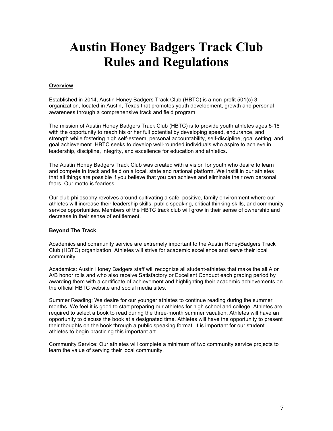# **Austin Honey Badgers Track Club Rules and Regulations**

### **Overview**

Established in 2014, Austin Honey Badgers Track Club (HBTC) is a non-profit 501(c) 3 organization, located in Austin, Texas that promotes youth development, growth and personal awareness through a comprehensive track and field program.

The mission of Austin Honey Badgers Track Club (HBTC) is to provide youth athletes ages 5-18 with the opportunity to reach his or her full potential by developing speed, endurance, and strength while fostering high self-esteem, personal accountability, self-discipline, goal setting, and goal achievement. HBTC seeks to develop well-rounded individuals who aspire to achieve in leadership, discipline, integrity, and excellence for education and athletics.

The Austin Honey Badgers Track Club was created with a vision for youth who desire to learn and compete in track and field on a local, state and national platform. We instill in our athletes that all things are possible if you believe that you can achieve and eliminate their own personal fears. Our motto is fearless.

Our club philosophy revolves around cultivating a safe, positive, family environment where our athletes will increase their leadership skills, public speaking, critical thinking skills, and community service opportunities. Members of the HBTC track club will grow in their sense of ownership and decrease in their sense of entitlement.

### **Beyond The Track**

Academics and community service are extremely important to the Austin HoneyBadgers Track Club (HBTC) organization. Athletes will strive for academic excellence and serve their local community.

Academics: Austin Honey Badgers staff will recognize all student-athletes that make the all A or A/B honor rolls and who also receive Satisfactory or Excellent Conduct each grading period by awarding them with a certificate of achievement and highlighting their academic achievements on the official HBTC website and social media sites.

Summer Reading: We desire for our younger athletes to continue reading during the summer months. We feel it is good to start preparing our athletes for high school and college. Athletes are required to select a book to read during the three-month summer vacation. Athletes will have an opportunity to discuss the book at a designated time. Athletes will have the opportunity to present their thoughts on the book through a public speaking format. It is important for our student athletes to begin practicing this important art.

Community Service: Our athletes will complete a minimum of two community service projects to learn the value of serving their local community.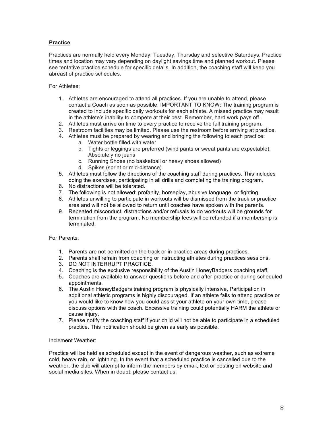### **Practice**

Practices are normally held every Monday, Tuesday, Thursday and selective Saturdays. Practice times and location may vary depending on daylight savings time and planned workout. Please see tentative practice schedule for specific details. In addition, the coaching staff will keep you abreast of practice schedules.

For Athletes:

- 1. Athletes are encouraged to attend all practices. If you are unable to attend, please contact a Coach as soon as possible. IMPORTANT TO KNOW: The training program is created to include specific daily workouts for each athlete. A missed practice may result in the athlete's inability to compete at their best. Remember, hard work pays off.
- 2. Athletes must arrive on time to every practice to receive the full training program.
- 3. Restroom facilities may be limited. Please use the restroom before arriving at practice.
- 4. Athletes must be prepared by wearing and bringing the following to each practice:
	- a. Water bottle filled with water
	- b. Tights or leggings are preferred (wind pants or sweat pants are expectable). Absolutely no jeans
	- c. Running Shoes (no basketball or heavy shoes allowed)
	- d. Spikes (sprint or mid-distance)
- 5. Athletes must follow the directions of the coaching staff during practices. This includes doing the exercises, participating in all drills and completing the training program.
- 6. No distractions will be tolerated.
- 7. The following is not allowed: profanity, horseplay, abusive language, or fighting.
- 8. Athletes unwilling to participate in workouts will be dismissed from the track or practice area and will not be allowed to return until coaches have spoken with the parents.
- 9. Repeated misconduct, distractions and/or refusals to do workouts will be grounds for termination from the program. No membership fees will be refunded if a membership is terminated.

For Parents:

- 1. Parents are not permitted on the track or in practice areas during practices.
- 2. Parents shall refrain from coaching or instructing athletes during practices sessions.
- 3. DO NOT INTERRUPT PRACTICE.
- 4. Coaching is the exclusive responsibility of the Austin HoneyBadgers coaching staff.
- 5. Coaches are available to answer questions before and after practice or during scheduled appointments.
- 6. The Austin HoneyBadgers training program is physically intensive. Participation in additional athletic programs is highly discouraged. If an athlete fails to attend practice or you would like to know how you could assist your athlete on your own time, please discuss options with the coach. Excessive training could potentially HARM the athlete or cause injury.
- 7. Please notify the coaching staff if your child will not be able to participate in a scheduled practice. This notification should be given as early as possible.

#### Inclement Weather:

Practice will be held as scheduled except in the event of dangerous weather, such as extreme cold, heavy rain, or lightning. In the event that a scheduled practice is cancelled due to the weather, the club will attempt to inform the members by email, text or posting on website and social media sites. When in doubt, please contact us.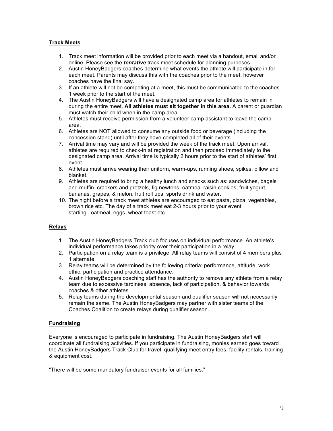### **Track Meets**

- 1. Track meet information will be provided prior to each meet via a handout, email and/or online. Please see the *tentative* track meet schedule for planning purposes.
- 2. Austin HoneyBadgers coaches determine what events the athlete will participate in for each meet. Parents may discuss this with the coaches prior to the meet, however coaches have the final say.
- 3. If an athlete will not be competing at a meet, this must be communicated to the coaches 1 week prior to the start of the meet.
- 4. The Austin HoneyBadgers will have a designated camp area for athletes to remain in during the entire meet. **All athletes must sit together in this area.** A parent or guardian must watch their child when in the camp area.
- 5. Athletes must receive permission from a volunteer camp assistant to leave the camp area.
- 6. Athletes are NOT allowed to consume any outside food or beverage (including the concession stand) until after they have completed all of their events.
- 7. Arrival time may vary and will be provided the week of the track meet. Upon arrival, athletes are required to check-in at registration and then proceed immediately to the designated camp area. Arrival time is typically 2 hours prior to the start of athletes' first event.
- 8. Athletes must arrive wearing their uniform, warm-ups, running shoes, spikes, pillow and blanket.
- 9. Athletes are required to bring a healthy lunch and snacks such as: sandwiches, bagels and muffin, crackers and pretzels, fig newtons, oatmeal-raisin cookies, fruit yogurt, bananas, grapes, & melon, fruit roll ups, sports drink and water.
- 10. The night before a track meet athletes are encouraged to eat pasta, pizza, vegetables, brown rice etc. The day of a track meet eat 2-3 hours prior to your event starting...oatmeal, eggs, wheat toast etc.

### **Relays**

- 1. The Austin HoneyBadgers Track club focuses on individual performance. An athlete's individual performance takes priority over their participation in a relay.
- 2. Participation on a relay team is a privilege. All relay teams will consist of 4 members plus 1 alternate.
- 3. Relay teams will be determined by the following criteria: performance, attitude, work ethic, participation and practice attendance.
- 4. Austin HoneyBadgers coaching staff has the authority to remove any athlete from a relay team due to excessive tardiness, absence, lack of participation, & behavior towards coaches & other athletes.
- 5. Relay teams during the developmental season and qualifier season will not necessarily remain the same. The Austin HoneyBadgers may partner with sister teams of the Coaches Coalition to create relays during qualifier season.

### **Fundraising**

Everyone is encouraged to participate in fundraising. The Austin HoneyBadgers staff will coordinate all fundraising activities. If you participate in fundraising, monies earned goes toward the Austin HoneyBadgers Track Club for travel, qualifying meet entry fees, facility rentals, training & equipment cost.

"There will be some mandatory fundraiser events for all families."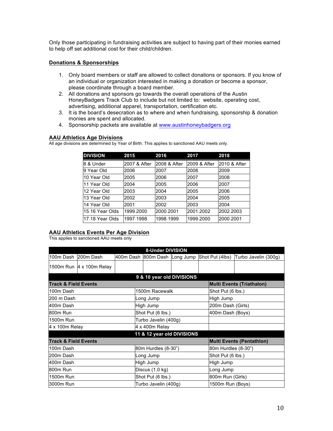Only those participating in fundraising activities are subject to having part of their monies earned to help off set additional cost for their child/children.

### **Donations & Sponsorships**

- 1. Only board members or staff are allowed to collect donations or sponsors. If you know of an individual or organization interested in making a donation or become a sponsor, please coordinate through a board member.
- 2. All donations and sponsors go towards the overall operations of the Austin HoneyBadgers Track Club to include but not limited to: website, operating cost, advertising, additional apparel, transportation, certification etc.
- 3. It is the board's desecration as to where and when fundraising, sponsorship & donation monies are spent and allocated.
- 4. Sponsorship packets are available at www.austinhoneybadgers.org

### **AAU Athletics Age Divisions**

All age divisions are determined by Year of Birth. This applies to sanctioned AAU meets only.

| <b>DIVISION</b> | 2015         | 2016         | 2017         | 2018         |
|-----------------|--------------|--------------|--------------|--------------|
| 8 & Under       | 2007 & After | 2008 & After | 2009 & After | 2010 & After |
| 9 Year Old      | 2006         | 2007         | 2008         | 2009         |
| 10 Year Old     | 2005         | 2006         | 2007         | 2008         |
| 11 Year Old     | 2004         | 2005         | 2006         | 2007         |
| 12 Year Old     | 2003         | 2004         | 2005         | 2006         |
| 13 Year Old     | 2002         | 2003         | 2004         | 2005         |
| 14 Year Old     | 2001         | 2002         | 2003         | 2004         |
| 15-16 Year Olds | 1999-2000    | 2000-2001    | 2001-2002    | 2002-2003    |
| 17-18 Year Olds | 1997-1998    | 1998-1999    | 1999-2000    | 2000-2001    |

### **AAU Athletics Events Per Age Division**

This applies to sanctioned AAU meets only

| 8-Under DIVISION                |                            |                               |                           |  |                     |                                  |  |  |
|---------------------------------|----------------------------|-------------------------------|---------------------------|--|---------------------|----------------------------------|--|--|
|                                 | 100m Dash 200m Dash        | 400m Dash 800m Dash Long Jump |                           |  | Shot Put (4lbs)     | Turbo Javelin (300g)             |  |  |
|                                 | 1500m Run   4 x 100m Relay |                               |                           |  |                     |                                  |  |  |
|                                 |                            |                               | 9 & 10 year old DIVISIONS |  |                     |                                  |  |  |
| <b>Track &amp; Field Events</b> |                            |                               |                           |  |                     | <b>Multi Events (Triathalon)</b> |  |  |
| 100m Dash                       |                            |                               | 1500m Racewalk            |  |                     | Shot Put (6 lbs.)                |  |  |
| 200 m Dash                      |                            |                               | Long Jump                 |  | High Jump           |                                  |  |  |
| 400m Dash                       |                            |                               | High Jump                 |  |                     | 200m Dash (Girls)                |  |  |
| 800m Run                        |                            |                               | Shot Put (6 lbs.)         |  |                     | 400m Dash (Boys)                 |  |  |
| 1500m Run                       |                            |                               | Turbo Javelin (400g)      |  |                     |                                  |  |  |
| 4 x 100m Relay                  |                            |                               | 4 x 400m Relay            |  |                     |                                  |  |  |
| 11 & 12 year old DIVISIONS      |                            |                               |                           |  |                     |                                  |  |  |
| <b>Track &amp; Field Events</b> |                            |                               |                           |  |                     | <b>Multi Events (Pentathion)</b> |  |  |
| 100m Dash                       |                            |                               | 80m Hurdles (8-30")       |  | 80m Hurdles (8-30") |                                  |  |  |
| 200m Dash                       |                            |                               | Long Jump                 |  |                     | Shot Put (6 lbs.)                |  |  |
| 400m Dash                       |                            |                               | High Jump                 |  | High Jump           |                                  |  |  |
| 800m Run                        |                            |                               | Discus (1.0 kg)           |  |                     | Long Jump                        |  |  |
| 1500m Run                       |                            |                               | Shot Put (6 lbs.)         |  |                     | 800m Run (Girls)                 |  |  |
| 3000m Run                       |                            |                               | Turbo Javelin (400g)      |  |                     | 1500m Run (Boys)                 |  |  |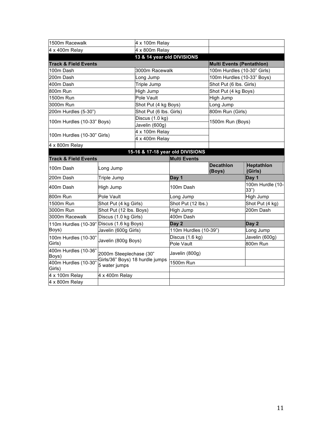| 1500m Racewalk                            |                                                                             | 4 x 100m Relay             |                                  |                            |                             |  |  |
|-------------------------------------------|-----------------------------------------------------------------------------|----------------------------|----------------------------------|----------------------------|-----------------------------|--|--|
| 4 x 400m Relay                            |                                                                             | 4 x 800m Relay             |                                  |                            |                             |  |  |
|                                           |                                                                             | 13 & 14 year old DIVISIONS |                                  |                            |                             |  |  |
| <b>Track &amp; Field Events</b>           |                                                                             |                            |                                  | Multi Events (Pentathlon)  |                             |  |  |
| 100m Dash                                 |                                                                             | 3000m Racewalk             |                                  |                            | 100m Hurdles (10-30" Girls) |  |  |
| 200m Dash                                 |                                                                             | Long Jump                  |                                  |                            | 100m Hurdles (10-33" Boys)  |  |  |
| 400m Dash                                 |                                                                             | Triple Jump                |                                  | Shot Put (6 lbs. Girls)    |                             |  |  |
| 800m Run                                  |                                                                             | High Jump                  |                                  | Shot Put (4 kg Boys)       |                             |  |  |
| 1500m Run                                 |                                                                             | Pole Vault                 |                                  | High Jump                  |                             |  |  |
| 3000m Run                                 |                                                                             | Shot Put (4 kg Boys)       |                                  | Long Jump                  |                             |  |  |
| 200m Hurdles (5-30")                      |                                                                             | Shot Put (6 lbs. Girls)    |                                  | 800m Run (Girls)           |                             |  |  |
| 100m Hurdles (10-33" Boys)                |                                                                             | Discus (1.0 kg)            |                                  |                            |                             |  |  |
|                                           |                                                                             | Javelin (600g)             |                                  | 1500m Run (Boys)           |                             |  |  |
| 100m Hurdles (10-30" Girls)               |                                                                             | 4 x 100m Relay             |                                  |                            |                             |  |  |
|                                           |                                                                             | 4 x 400m Relay             |                                  |                            |                             |  |  |
| 4 x 800m Relay                            |                                                                             |                            |                                  |                            |                             |  |  |
|                                           |                                                                             |                            | 15-16 & 17-18 year old DIVISIONS |                            |                             |  |  |
| <b>Track &amp; Field Events</b>           |                                                                             |                            | <b>Multi Events</b>              |                            |                             |  |  |
| 100m Dash                                 | Long Jump                                                                   |                            |                                  | <b>Decathlon</b><br>(Boys) | Heptathlon<br>(Girls)       |  |  |
| 200m Dash                                 | Triple Jump                                                                 |                            | Day 1                            |                            | Day 1                       |  |  |
| 400m Dash                                 | High Jump                                                                   |                            | 100m Dash                        |                            | 100m Hurdle (10-<br>33")    |  |  |
| 800m Run                                  | Pole Vault                                                                  |                            | Long Jump                        |                            | High Jump                   |  |  |
| 1500m Run                                 | Shot Put (4 kg Girls)                                                       |                            | Shot Put (12 lbs.)               |                            | Shot Put (4 kg)             |  |  |
| 3000m Run                                 | Shot Put (12 lbs. Boys)                                                     |                            | High Jump                        |                            | 200m Dash                   |  |  |
| 3000m Racewalk                            | Discus (1.0 kg Girls)                                                       |                            | 400m Dash                        |                            |                             |  |  |
| 110m Hurdles (10-39" Discus (1.6 kg Boys) |                                                                             |                            | Day 2                            |                            | Day 2                       |  |  |
| Boys)                                     | Javelin (600g Girls)                                                        |                            | 110m Hurdles (10-39")            |                            | Long Jump                   |  |  |
| 100m Hurdles (10-30"                      |                                                                             |                            | Discus (1.6 kg)                  |                            | Javelin (600g)              |  |  |
| Girls)                                    |                                                                             | Javelin (800g Boys)        |                                  | Pole Vault                 |                             |  |  |
| 400m Hurdles (10-36"<br>Boys)             | 2000m Steeplechase (30"<br>Girls/36" Boys) 18 hurdle jumps<br>5 water jumps |                            | Javelin (800g)                   |                            |                             |  |  |
| 400m Hurdles (10-30"                      |                                                                             |                            | 1500m Run                        |                            |                             |  |  |
| Girls)                                    |                                                                             |                            |                                  |                            |                             |  |  |
| 4 x 100m Relay                            | 4 x 400m Relay                                                              |                            |                                  |                            |                             |  |  |
| 4 x 800m Relay                            |                                                                             |                            |                                  |                            |                             |  |  |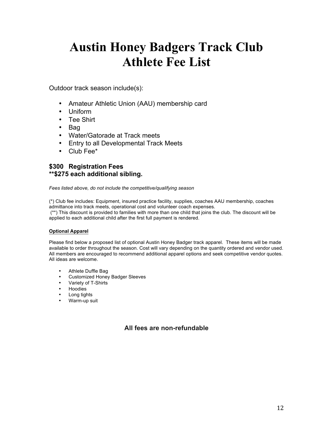# **Austin Honey Badgers Track Club Athlete Fee List**

Outdoor track season include(s):

- Amateur Athletic Union (AAU) membership card
- Uniform
- Tee Shirt
- Bag
- Water/Gatorade at Track meets
- Entry to all Developmental Track Meets
- Club Fee\*

# **\$300 Registration Fees \*\*\$275 each additional sibling.**

*Fees listed above, do not include the competitive/qualifying season* 

(\*) Club fee includes: Equipment, insured practice facility, supplies, coaches AAU membership, coaches admittance into track meets, operational cost and volunteer coach expenses.

(\*\*) This discount is provided to families with more than one child that joins the club. The discount will be applied to each additional child after the first full payment is rendered.

#### **Optional Apparel**

Please find below a proposed list of optional Austin Honey Badger track apparel. These items will be made available to order throughout the season. Cost will vary depending on the quantity ordered and vendor used. All members are encouraged to recommend additional apparel options and seek competitive vendor quotes. All ideas are welcome.

- Athlete Duffle Bag
- Customized Honey Badger Sleeves
- Variety of T-Shirts
- Hoodies
- Long tights
- Warm-up suit

# **All fees are non-refundable**